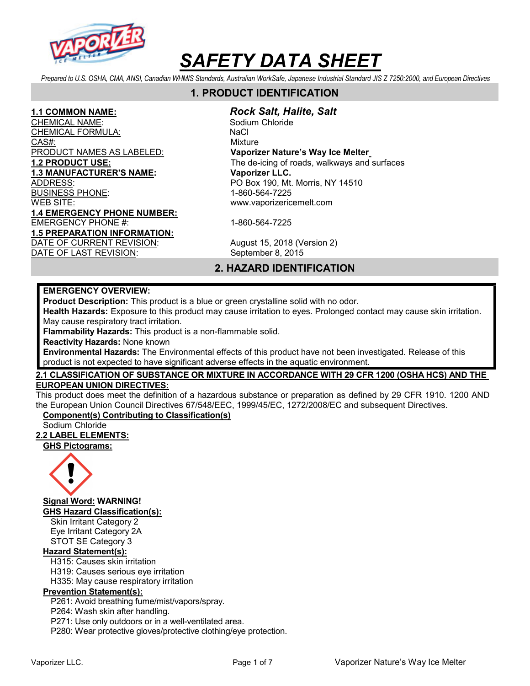

Prepared to U.S. OSHA, CMA, ANSI, Canadian WHMIS Standards, Australian WorkSafe, Japanese Industrial Standard JIS Z 7250:2000, and European Directives

# 1. PRODUCT IDENTIFICATION

CHEMICAL NAME: Sodium Chloride CHEMI<u>CAL FORMULA:</u> NaCl CAS#: CAS CONSIDERED A CONSIDERATION OF THE CONSIDERED AT A CONSIDERATION OF THE CONSIDERED AT A CONSIDERATION PRODUCT NAMES AS LABELED: Vaporizer Nature's Way Ice Melter 1.3 MANUFACTURER'S NAME: Vaporizer LLC. ADDRESS: PO Box 190, Mt. Morris, NY 14510 BUSINESS PHONE: 1-860-564-7225 WEB SITE: www.vaporizericemelt.com 1.4 EMERGENCY PHONE NUMBER: EMERGENCY PHONE #: 1-860-564-7225 1.5 PREPARATION INFORMATION: DATE OF CURRENT REVISION: August 15, 2018 (Version 2)

1.1 COMMON NAME: Rock Salt, Halite, Salt

1.2 PRODUCT USE: The de-icing of roads, walkways and surfaces

DATE OF LAST REVISION: September 8, 2015

# 2. HAZARD IDENTIFICATION

#### EMERGENCY OVERVIEW:

Product Description: This product is a blue or green crystalline solid with no odor.

Health Hazards: Exposure to this product may cause irritation to eyes. Prolonged contact may cause skin irritation. May cause respiratory tract irritation.

Flammability Hazards: This product is a non-flammable solid.

Reactivity Hazards: None known

Environmental Hazards: The Environmental effects of this product have not been investigated. Release of this product is not expected to have significant adverse effects in the aquatic environment.

### 2.1 CLASSIFICATION OF SUBSTANCE OR MIXTURE IN ACCORDANCE WITH 29 CFR 1200 (OSHA HCS) AND THE EUROPEAN UNION DIRECTIVES:

This product does meet the definition of a hazardous substance or preparation as defined by 29 CFR 1910. 1200 AND the European Union Council Directives 67/548/EEC, 1999/45/EC, 1272/2008/EC and subsequent Directives.

# Component(s) Contributing to Classification(s)

Sodium Chloride

#### 2.2 LABEL ELEMENTS:

GHS Pictograms:



Signal Word: WARNING!

GHS Hazard Classification(s):

Skin Irritant Category 2 Eye Irritant Category 2A STOT SE Category 3

# Hazard Statement(s):

H315: Causes skin irritation

H319: Causes serious eye irritation

H335: May cause respiratory irritation

# Prevention Statement(s):

P261: Avoid breathing fume/mist/vapors/spray.

P264: Wash skin after handling.

P271: Use only outdoors or in a well-ventilated area.

P280: Wear protective gloves/protective clothing/eye protection.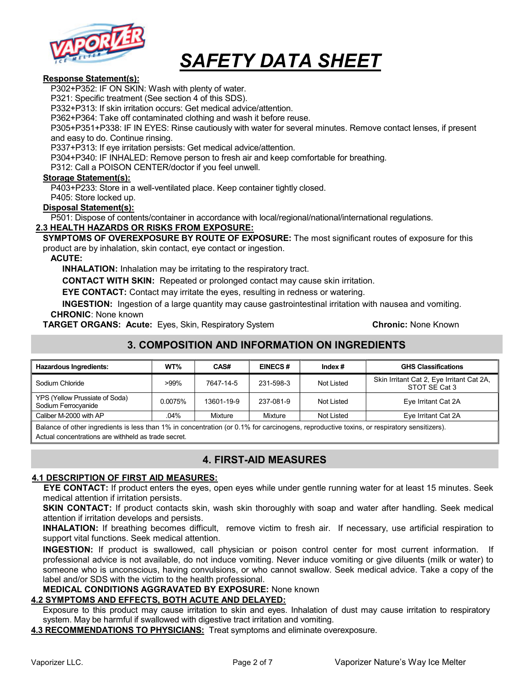

#### Response Statement(s):

P302+P352: IF ON SKIN: Wash with plenty of water.

P321: Specific treatment (See section 4 of this SDS).

P332+P313: If skin irritation occurs: Get medical advice/attention.

P362+P364: Take off contaminated clothing and wash it before reuse.

P305+P351+P338: IF IN EYES: Rinse cautiously with water for several minutes. Remove contact lenses, if present and easy to do. Continue rinsing.

P337+P313: If eye irritation persists: Get medical advice/attention.

P304+P340: IF INHALED: Remove person to fresh air and keep comfortable for breathing.

P312: Call a POISON CENTER/doctor if you feel unwell.

#### Storage Statement(s):

P403+P233: Store in a well-ventilated place. Keep container tightly closed.

P405: Store locked up.

#### Disposal Statement(s):

P501: Dispose of contents/container in accordance with local/regional/national/international regulations.

#### 2.3 HEALTH HAZARDS OR RISKS FROM EXPOSURE:

SYMPTOMS OF OVEREXPOSURE BY ROUTE OF EXPOSURE: The most significant routes of exposure for this product are by inhalation, skin contact, eye contact or ingestion.

#### ACUTE:

INHALATION: Inhalation may be irritating to the respiratory tract.

CONTACT WITH SKIN: Repeated or prolonged contact may cause skin irritation.

EYE CONTACT: Contact may irritate the eyes, resulting in redness or watering.

INGESTION: Ingestion of a large quantity may cause gastrointestinal irritation with nausea and vomiting. CHRONIC: None known

**TARGET ORGANS: Acute:** Eyes, Skin, Respiratory System **Chronic: None Known** Chronic: None Known

# 3. COMPOSITION AND INFORMATION ON INGREDIENTS

| <b>Hazardous Ingredients:</b>                         | WT%     | CAS#       | <b>EINECS#</b> | Index $#$  | <b>GHS Classifications</b>                                 |
|-------------------------------------------------------|---------|------------|----------------|------------|------------------------------------------------------------|
| Sodium Chloride                                       | $>99\%$ | 7647-14-5  | 231-598-3      | Not Listed | Skin Irritant Cat 2, Eye Irritant Cat 2A,<br>STOT SE Cat 3 |
| YPS (Yellow Prussiate of Soda)<br>Sodium Ferrocyanide | 0.0075% | 13601-19-9 | 237-081-9      | Not Listed | Eye Irritant Cat 2A                                        |
| Caliber M-2000 with AP                                | .04%    | Mixture    | Mixture        | Not Listed | Eye Irritant Cat 2A                                        |

Balance of other ingredients is less than 1% in concentration (or 0.1% for carcinogens, reproductive toxins, or respiratory sensitizers). Actual concentrations are withheld as trade secret.

# 4. FIRST-AID MEASURES

#### 4.1 DESCRIPTION OF FIRST AID MEASURES:

EYE CONTACT: If product enters the eyes, open eyes while under gentle running water for at least 15 minutes. Seek medical attention if irritation persists.

**SKIN CONTACT:** If product contacts skin, wash skin thoroughly with soap and water after handling. Seek medical attention if irritation develops and persists.

INHALATION: If breathing becomes difficult, remove victim to fresh air. If necessary, use artificial respiration to support vital functions. Seek medical attention.

INGESTION: If product is swallowed, call physician or poison control center for most current information. If professional advice is not available, do not induce vomiting. Never induce vomiting or give diluents (milk or water) to someone who is unconscious, having convulsions, or who cannot swallow. Seek medical advice. Take a copy of the label and/or SDS with the victim to the health professional.

#### MEDICAL CONDITIONS AGGRAVATED BY EXPOSURE: None known

# 4.2 SYMPTOMS AND EFFECTS, BOTH ACUTE AND DELAYED:

Exposure to this product may cause irritation to skin and eyes. Inhalation of dust may cause irritation to respiratory system. May be harmful if swallowed with digestive tract irritation and vomiting.

4.3 RECOMMENDATIONS TO PHYSICIANS: Treat symptoms and eliminate overexposure.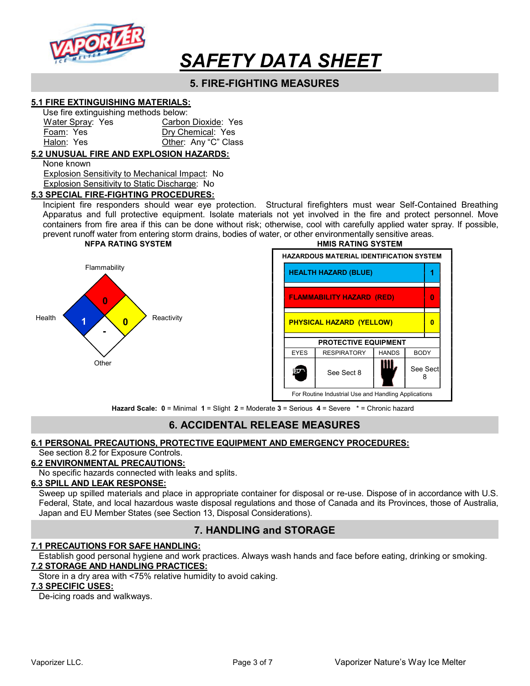

# 5. FIRE-FIGHTING MEASURES

#### 5.1 FIRE EXTINGUISHING MATERIALS:

| Use fire extinguishing methods below: |                      |
|---------------------------------------|----------------------|
| Water Spray: Yes                      | Carbon Dioxide: Yes  |
| Foam: Yes                             | Dry Chemical: Yes    |
| Halon: Yes                            | Other: Any "C" Class |

#### 5.2 UNUSUAL FIRE AND EXPLOSION HAZARDS:

None known

 Explosion Sensitivity to Mechanical Impact: No Explosion Sensitivity to Static Discharge: No

#### 5.3 SPECIAL FIRE-FIGHTING PROCEDURES:

Incipient fire responders should wear eye protection. Structural firefighters must wear Self-Contained Breathing Apparatus and full protective equipment. Isolate materials not yet involved in the fire and protect personnel. Move containers from fire area if this can be done without risk; otherwise, cool with carefully applied water spray. If possible, prevent runoff water from entering storm drains, bodies of water, or other environmentally sensitive areas.





Hazard Scale: 0 = Minimal 1 = Slight 2 = Moderate 3 = Serious 4 = Severe \* = Chronic hazard

# 6. ACCIDENTAL RELEASE MEASURES

#### 6.1 PERSONAL PRECAUTIONS, PROTECTIVE EQUIPMENT AND EMERGENCY PROCEDURES:

### See section 8.2 for Exposure Controls.

# 6.2 ENVIRONMENTAL PRECAUTIONS:

No specific hazards connected with leaks and splits.

#### 6.3 SPILL AND LEAK RESPONSE:

Sweep up spilled materials and place in appropriate container for disposal or re-use. Dispose of in accordance with U.S. Federal, State, and local hazardous waste disposal regulations and those of Canada and its Provinces, those of Australia, Japan and EU Member States (see Section 13, Disposal Considerations).

# 7. HANDLING and STORAGE

#### 7.1 PRECAUTIONS FOR SAFE HANDLING:

Establish good personal hygiene and work practices. Always wash hands and face before eating, drinking or smoking. 7.2 STORAGE AND HANDLING PRACTICES:

Store in a dry area with <75% relative humidity to avoid caking.

#### 7.3 SPECIFIC USES:

De-icing roads and walkways.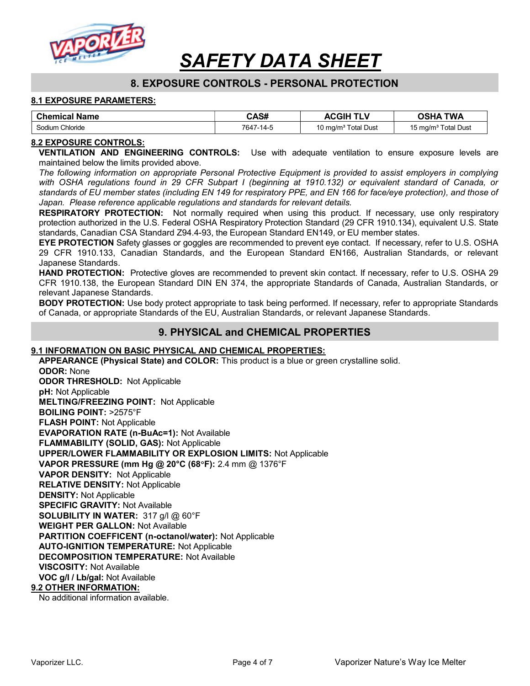

# 8. EXPOSURE CONTROLS - PERSONAL PROTECTION

#### 8.1 EXPOSURE PARAMETERS:

| <b>Chemical Name</b> | CAS#      | <b>ACGIH</b>                    | <b>TWA</b><br><b>OSHA</b>       |
|----------------------|-----------|---------------------------------|---------------------------------|
| Sodium Chloride      | 7647-14-5 | 10 mg/m <sup>3</sup> Total Dust | 15 mg/m <sup>3</sup> Total Dust |

#### 8.2 EXPOSURE CONTROLS:

VENTILATION AND ENGINEERING CONTROLS: Use with adequate ventilation to ensure exposure levels are maintained below the limits provided above.

The following information on appropriate Personal Protective Equipment is provided to assist employers in complying with OSHA regulations found in 29 CFR Subpart I (beginning at 1910.132) or equivalent standard of Canada, or standards of EU member states (including EN 149 for respiratory PPE, and EN 166 for face/eye protection), and those of Japan. Please reference applicable regulations and standards for relevant details.

**RESPIRATORY PROTECTION:** Not normally required when using this product. If necessary, use only respiratory protection authorized in the U.S. Federal OSHA Respiratory Protection Standard (29 CFR 1910.134), equivalent U.S. State standards, Canadian CSA Standard Z94.4-93, the European Standard EN149, or EU member states.

EYE PROTECTION Safety glasses or goggles are recommended to prevent eye contact. If necessary, refer to U.S. OSHA 29 CFR 1910.133, Canadian Standards, and the European Standard EN166, Australian Standards, or relevant Japanese Standards.

HAND PROTECTION: Protective gloves are recommended to prevent skin contact. If necessary, refer to U.S. OSHA 29 CFR 1910.138, the European Standard DIN EN 374, the appropriate Standards of Canada, Australian Standards, or relevant Japanese Standards.

**BODY PROTECTION:** Use body protect appropriate to task being performed. If necessary, refer to appropriate Standards of Canada, or appropriate Standards of the EU, Australian Standards, or relevant Japanese Standards.

# 9. PHYSICAL and CHEMICAL PROPERTIES

#### 9.1 INFORMATION ON BASIC PHYSICAL AND CHEMICAL PROPERTIES:

APPEARANCE (Physical State) and COLOR: This product is a blue or green crystalline solid.

ODOR: None ODOR THRESHOLD: Not Applicable pH: Not Applicable MELTING/FREEZING POINT: Not Applicable BOILING POINT: >2575°F FLASH POINT: Not Applicable EVAPORATION RATE (n-BuAc=1): Not Available FLAMMABILITY (SOLID, GAS): Not Applicable UPPER/LOWER FLAMMABILITY OR EXPLOSION LIMITS: Not Applicable VAPOR PRESSURE (mm Hg @ 20°C (68F): 2.4 mm @ 1376°F VAPOR DENSITY: Not Applicable RELATIVE DENSITY: Not Applicable DENSITY: Not Applicable SPECIFIC GRAVITY: Not Available SOLUBILITY IN WATER: 317 g/l @ 60°F WEIGHT PER GALLON: Not Available PARTITION COEFFICENT (n-octanol/water): Not Applicable AUTO-IGNITION TEMPERATURE: Not Applicable DECOMPOSITION TEMPERATURE: Not Available VISCOSITY: Not Available VOC g/l / Lb/gal: Not Available 9.2 OTHER INFORMATION:

No additional information available.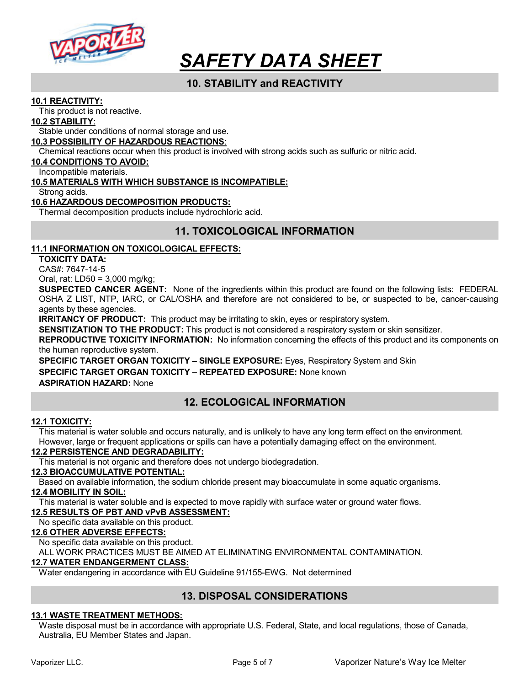

# 10. STABILITY and REACTIVITY

#### 10.1 REACTIVITY:

This product is not reactive.

#### 10.2 STABILITY:

Stable under conditions of normal storage and use.

#### 10.3 POSSIBILITY OF HAZARDOUS REACTIONS:

Chemical reactions occur when this product is involved with strong acids such as sulfuric or nitric acid.

#### 10.4 CONDITIONS TO AVOID:

Incompatible materials.

#### 10.5 MATERIALS WITH WHICH SUBSTANCE IS INCOMPATIBLE:

Strong acids.

#### 10.6 HAZARDOUS DECOMPOSITION PRODUCTS:

Thermal decomposition products include hydrochloric acid.

# 11. TOXICOLOGICAL INFORMATION

#### 11.1 INFORMATION ON TOXICOLOGICAL EFFECTS:

TOXICITY DATA:

CAS#: 7647-14-5

Oral, rat: LD50 = 3,000 mg/kg;

SUSPECTED CANCER AGENT: None of the ingredients within this product are found on the following lists: FEDERAL OSHA Z LIST, NTP, IARC, or CAL/OSHA and therefore are not considered to be, or suspected to be, cancer-causing agents by these agencies.

**IRRITANCY OF PRODUCT:** This product may be irritating to skin, eyes or respiratory system.

SENSITIZATION TO THE PRODUCT: This product is not considered a respiratory system or skin sensitizer.

REPRODUCTIVE TOXICITY INFORMATION: No information concerning the effects of this product and its components on the human reproductive system.

SPECIFIC TARGET ORGAN TOXICITY – SINGLE EXPOSURE: Eyes, Respiratory System and Skin SPECIFIC TARGET ORGAN TOXICITY - REPEATED EXPOSURE: None known ASPIRATION HAZARD: None

# 12. ECOLOGICAL INFORMATION

#### 12.1 TOXICITY:

This material is water soluble and occurs naturally, and is unlikely to have any long term effect on the environment. However, large or frequent applications or spills can have a potentially damaging effect on the environment.

#### 12.2 PERSISTENCE AND DEGRADABILITY:

This material is not organic and therefore does not undergo biodegradation.

### 12.3 BIOACCUMULATIVE POTENTIAL:

Based on available information, the sodium chloride present may bioaccumulate in some aquatic organisms.

#### 12.4 MOBILITY IN SOIL:

This material is water soluble and is expected to move rapidly with surface water or ground water flows.

#### 12.5 RESULTS OF PBT AND vPvB ASSESSMENT:

No specific data available on this product.

#### 12.6 OTHER ADVERSE EFFECTS:

No specific data available on this product.

ALL WORK PRACTICES MUST BE AIMED AT ELIMINATING ENVIRONMENTAL CONTAMINATION.

#### 12.7 WATER ENDANGERMENT CLASS:

Water endangering in accordance with EU Guideline 91/155-EWG. Not determined

# 13. DISPOSAL CONSIDERATIONS

#### 13.1 WASTE TREATMENT METHODS:

Waste disposal must be in accordance with appropriate U.S. Federal, State, and local regulations, those of Canada, Australia, EU Member States and Japan.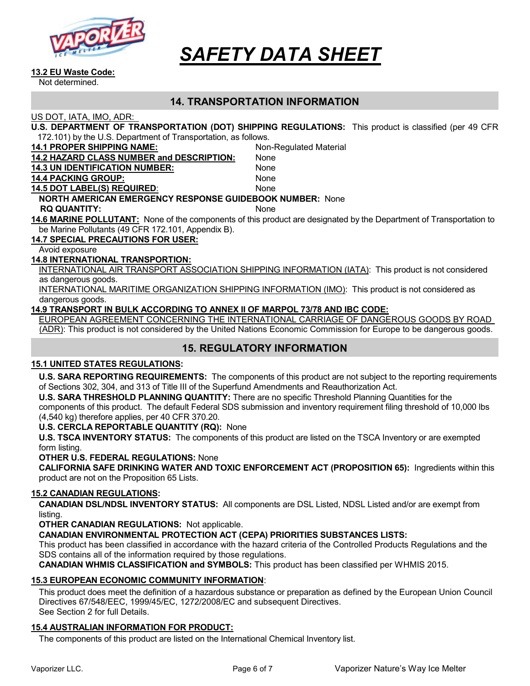

#### 13.2 EU Waste Code:

Not determined.

# 14. TRANSPORTATION INFORMATION

US DOT, IATA, IMO, ADR:

| U.S. DEPARTMENT OF TRANSPORTATION (DOT) SHIPPING REGULATIONS: This product is classified (per 49 CFR |  |
|------------------------------------------------------------------------------------------------------|--|
| 172.101) by the U.S. Department of Transportation, as follows.                                       |  |

| <u>IZ. IVI) by the O.S. Department of Transportation, as follows.</u> |                                                                                                                     |  |
|-----------------------------------------------------------------------|---------------------------------------------------------------------------------------------------------------------|--|
| <b>14.1 PROPER SHIPPING NAME:</b>                                     | Non-Regulated Material                                                                                              |  |
| <b>14.2 HAZARD CLASS NUMBER and DESCRIPTION:</b>                      | None                                                                                                                |  |
| <b>14.3 UN IDENTIFICATION NUMBER:</b>                                 | None                                                                                                                |  |
| <b>14.4 PACKING GROUP:</b>                                            | None                                                                                                                |  |
| <b>14.5 DOT LABEL(S) REQUIRED:</b>                                    | None                                                                                                                |  |
| <b>NORTH AMERICAN EMERGENCY RESPONSE GUIDEBOOK NUMBER: None</b>       |                                                                                                                     |  |
| <b>RQ QUANTITY:</b>                                                   | <b>None</b>                                                                                                         |  |
|                                                                       | 14.6 MARINE POLLUTANT: None of the components of this product are designated by the Department of Transportation to |  |
| be Marine Pollutants (49 CFR 172.101, Appendix B).                    |                                                                                                                     |  |
| <b>14.7 SPECIAL PRECAUTIONS FOR USER:</b>                             |                                                                                                                     |  |
|                                                                       |                                                                                                                     |  |

Avoid exposure

#### 14.8 INTERNATIONAL TRANSPORTION:

INTERNATIONAL AIR TRANSPORT ASSOCIATION SHIPPING INFORMATION (IATA): This product is not considered as dangerous goods.

INTERNATIONAL MARITIME ORGANIZATION SHIPPING INFORMATION (IMO): This product is not considered as dangerous goods.

#### 14.9 TRANSPORT IN BULK ACCORDING TO ANNEX II OF MARPOL 73/78 AND IBC CODE:

EUROPEAN AGREEMENT CONCERNING THE INTERNATIONAL CARRIAGE OF DANGEROUS GOODS BY ROAD (ADR): This product is not considered by the United Nations Economic Commission for Europe to be dangerous goods.

# 15. REGULATORY INFORMATION

#### 15.1 UNITED STATES REGULATIONS:

U.S. SARA REPORTING REQUIREMENTS: The components of this product are not subject to the reporting requirements of Sections 302, 304, and 313 of Title III of the Superfund Amendments and Reauthorization Act.

U.S. SARA THRESHOLD PLANNING QUANTITY: There are no specific Threshold Planning Quantities for the components of this product. The default Federal SDS submission and inventory requirement filing threshold of 10,000 lbs (4,540 kg) therefore applies, per 40 CFR 370.20.

#### U.S. CERCLA REPORTABLE QUANTITY (RQ): None

U.S. TSCA INVENTORY STATUS: The components of this product are listed on the TSCA Inventory or are exempted form listing.

#### OTHER U.S. FEDERAL REGULATIONS: None

CALIFORNIA SAFE DRINKING WATER AND TOXIC ENFORCEMENT ACT (PROPOSITION 65): Ingredients within this product are not on the Proposition 65 Lists.

#### 15.2 CANADIAN REGULATIONS:

CANADIAN DSL/NDSL INVENTORY STATUS: All components are DSL Listed, NDSL Listed and/or are exempt from listing.

OTHER CANADIAN REGULATIONS: Not applicable.

CANADIAN ENVIRONMENTAL PROTECTION ACT (CEPA) PRIORITIES SUBSTANCES LISTS:

This product has been classified in accordance with the hazard criteria of the Controlled Products Regulations and the SDS contains all of the information required by those regulations.

CANADIAN WHMIS CLASSIFICATION and SYMBOLS: This product has been classified per WHMIS 2015.

#### 15.3 EUROPEAN ECONOMIC COMMUNITY INFORMATION:

This product does meet the definition of a hazardous substance or preparation as defined by the European Union Council Directives 67/548/EEC, 1999/45/EC, 1272/2008/EC and subsequent Directives. See Section 2 for full Details.

#### 15.4 AUSTRALIAN INFORMATION FOR PRODUCT:

The components of this product are listed on the International Chemical Inventory list.